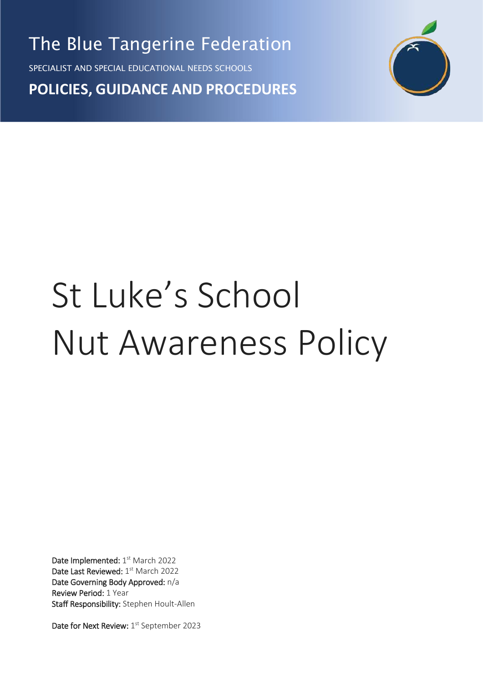The Blue Tangerine Federation

SPECIALIST AND SPECIAL EDUCATIONAL NEEDS SCHOOLS

**POLICIES, GUIDANCE AND PROCEDURES**



# St Luke's School Nut Awareness Policy

Date Implemented: 1st March 2022 Date Last Reviewed: 1st March 2022 Date Governing Body Approved: n/a Review Period: 1 Year Staff Responsibility: Stephen Hoult-Allen

Date for Next Review: 1<sup>st</sup> September 2023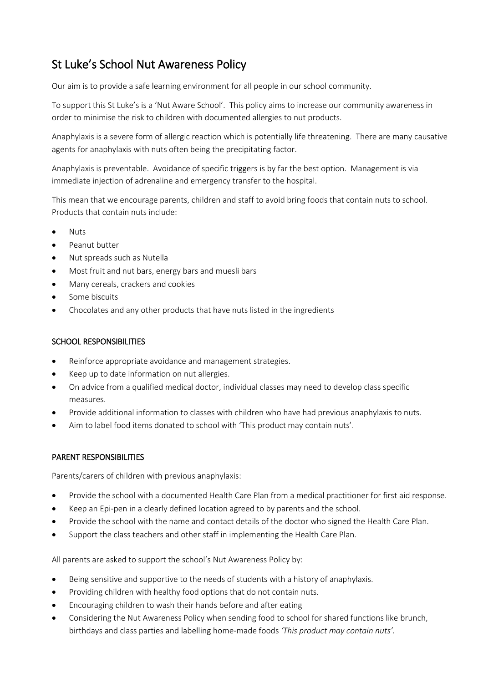# St Luke's School Nut Awareness Policy

Our aim is to provide a safe learning environment for all people in our school community.

To support this St Luke's is a 'Nut Aware School'. This policy aims to increase our community awareness in order to minimise the risk to children with documented allergies to nut products.

Anaphylaxis is a severe form of allergic reaction which is potentially life threatening. There are many causative agents for anaphylaxis with nuts often being the precipitating factor.

Anaphylaxis is preventable. Avoidance of specific triggers is by far the best option. Management is via immediate injection of adrenaline and emergency transfer to the hospital.

This mean that we encourage parents, children and staff to avoid bring foods that contain nuts to school. Products that contain nuts include:

- **Nuts**
- Peanut butter
- Nut spreads such as Nutella
- Most fruit and nut bars, energy bars and muesli bars
- Many cereals, crackers and cookies
- Some biscuits
- Chocolates and any other products that have nuts listed in the ingredients

### SCHOOL RESPONSIBILITIES

- Reinforce appropriate avoidance and management strategies.
- Keep up to date information on nut allergies.
- On advice from a qualified medical doctor, individual classes may need to develop class specific measures.
- Provide additional information to classes with children who have had previous anaphylaxis to nuts.
- Aim to label food items donated to school with 'This product may contain nuts'.

# PARENT RESPONSIBILITIES

Parents/carers of children with previous anaphylaxis:

- Provide the school with a documented Health Care Plan from a medical practitioner for first aid response.
- Keep an Epi-pen in a clearly defined location agreed to by parents and the school.
- Provide the school with the name and contact details of the doctor who signed the Health Care Plan.
- Support the class teachers and other staff in implementing the Health Care Plan.

All parents are asked to support the school's Nut Awareness Policy by:

- Being sensitive and supportive to the needs of students with a history of anaphylaxis.
- Providing children with healthy food options that do not contain nuts.
- Encouraging children to wash their hands before and after eating
- Considering the Nut Awareness Policy when sending food to school for shared functions like brunch, birthdays and class parties and labelling home-made foods *'This product may contain nuts'.*